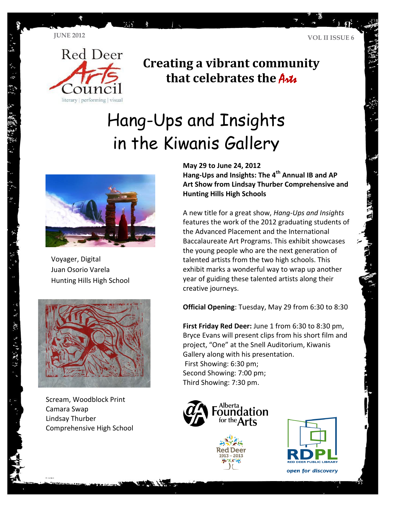

### **Creating a vibrant community that celebrates the Artic**

# Hang-Ups and Insights in the Kiwanis Gallery



Voyager, Digital Juan Osorio Varela Hunting Hills High School



Scream, Woodblock Print Camara Swap Lindsay Thurber Comprehensive High School

**May 29 to June 24, 2012**

**Hang-Ups and Insights: The 4th Annual IB and AP Art Show from Lindsay Thurber Comprehensive and Hunting Hills High Schools**

A new title for a great show, *Hang-Ups and Insights* features the work of the 2012 graduating students of the Advanced Placement and the International Baccalaureate Art Programs. This exhibit showcases the young people who are the next generation of talented artists from the two high schools. This exhibit marks a wonderful way to wrap up another year of guiding these talented artists along their creative journeys.

**Official Opening**: Tuesday, May 29 from 6:30 to 8:30

**First Friday Red Deer:** June 1 from 6:30 to 8:30 pm, Bryce Evans will present clips from his short film and project, "One" at the Snell Auditorium, Kiwanis Gallery along with his presentation. First Showing: 6:30 pm; Second Showing: 7:00 pm; Third Showing: 7:30 pm.



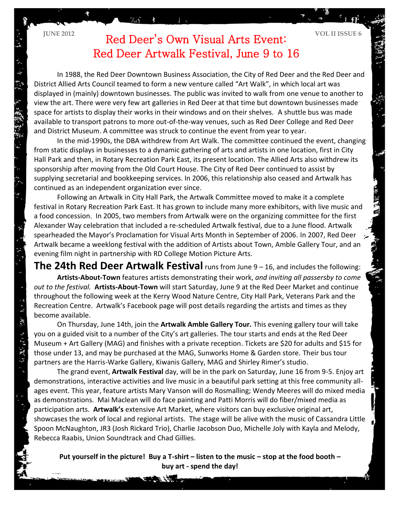$\ddot{\mathbf{z}}$  $\mathcal{R}$  .

经进行程序

### **JUNE 2012 VOL II ISSUE 6** Red Deer's Own Visual Arts Event: Red Deer Artwalk Festival, June 9 to 16

In 1988, the Red Deer Downtown Business Association, the City of Red Deer and the Red Deer and District Allied Arts Council teamed to form a new venture called "Art Walk", in which local art was displayed in (mainly) downtown businesses. The public was invited to walk from one venue to another to view the art. There were very few art galleries in Red Deer at that time but downtown businesses made space for artists to display their works in their windows and on their shelves. A shuttle bus was made available to transport patrons to more out-of-the-way venues, such as Red Deer College and Red Deer and District Museum. A committee was struck to continue the event from year to year.

In the mid-1990s, the DBA withdrew from Art Walk. The committee continued the event, changing from static displays in businesses to a dynamic gathering of arts and artists in one location, first in City Hall Park and then, in Rotary Recreation Park East, its present location. The Allied Arts also withdrew its sponsorship after moving from the Old Court House. The City of Red Deer continued to assist by supplying secretarial and bookkeeping services. In 2006, this relationship also ceased and Artwalk has continued as an independent organization ever since.

Following an Artwalk in City Hall Park, the Artwalk Committee moved to make it a complete festival in Rotary Recreation Park East. It has grown to include many more exhibitors, with live music and a food concession. In 2005, two members from Artwalk were on the organizing committee for the first Alexander Way celebration that included a re-scheduled Artwalk festival, due to a June flood. Artwalk spearheaded the Mayor's Proclamation for Visual Arts Month in September of 2006. In 2007, Red Deer Artwalk became a weeklong festival with the addition of Artists about Town, Amble Gallery Tour, and an evening film night in partnership with RD College Motion Picture Arts.

**The 24th Red Deer Artwalk Festival** runs from June 9 – 16, and includes the following: **Artists-About-Town** features artists demonstrating their work, *and inviting all passersby to come out to the festival.* **Artists-About-Town** will start Saturday, June 9 at the Red Deer Market and continue throughout the following week at the Kerry Wood Nature Centre, City Hall Park, Veterans Park and the Recreation Centre. Artwalk's Facebook page will post details regarding the artists and times as they become available.

On Thursday, June 14th, join the **Artwalk Amble Gallery Tour.** This evening gallery tour will take you on a guided visit to a number of the City's art galleries. The tour starts and ends at the Red Deer Museum + Art Gallery (MAG) and finishes with a private reception. Tickets are \$20 for adults and \$15 for those under 13, and may be purchased at the MAG, Sunworks Home & Garden store. Their bus tour partners are the Harris-Warke Gallery, Kiwanis Gallery, MAG and Shirley Rimer's studio.

The grand event, **Artwalk Festival** day, will be in the park on Saturday, June 16 from 9-5. Enjoy art demonstrations, interactive activities and live music in a beautiful park setting at this free community allages event. This year, feature artists Mary Vanson will do Rosmalling; Wendy Meeres will do mixed media as demonstrations. Mai Maclean will do face painting and Patti Morris will do fiber/mixed media as participation arts. **Artwalk's** extensive Art Market, where visitors can buy exclusive original art, showcases the work of local and regional artists. The stage will be alive with the music of Cassandra Little Spoon McNaughton, JR3 (Josh Rickard Trio), Charlie Jacobson Duo, Michelle Joly with Kayla and Melody, Rebecca Raabis, Union Soundtrack and Chad Gillies.

**Put yourself in the picture! Buy a T-shirt – listen to the music – stop at the food booth – buy art - spend the day!**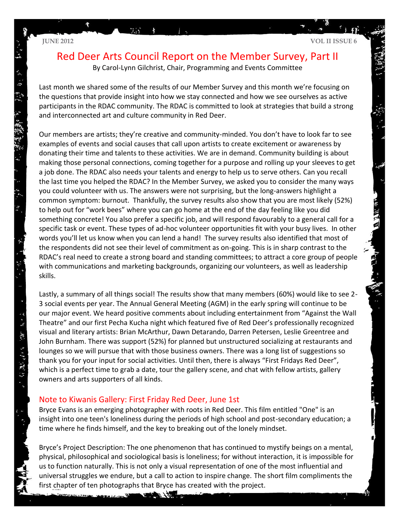**ない (感) きょきょう** 

### Red Deer Arts Council Report on the Member Survey, Part II

By Carol-Lynn Gilchrist, Chair, Programming and Events Committee

Last month we shared some of the results of our Member Survey and this month we're focusing on the questions that provide insight into how we stay connected and how we see ourselves as active participants in the RDAC community. The RDAC is committed to look at strategies that build a strong and interconnected art and culture community in Red Deer.

Our members are artists; they're creative and community-minded. You don't have to look far to see examples of events and social causes that call upon artists to create excitement or awareness by donating their time and talents to these activities. We are in demand. Community building is about making those personal connections, coming together for a purpose and rolling up your sleeves to get a job done. The RDAC also needs your talents and energy to help us to serve others. Can you recall the last time you helped the RDAC? In the Member Survey, we asked you to consider the many ways you could volunteer with us. The answers were not surprising, but the long-answers highlight a common symptom: burnout. Thankfully, the survey results also show that you are most likely (52%) to help out for "work bees" where you can go home at the end of the day feeling like you did something concrete! You also prefer a specific job, and will respond favourably to a general call for a specific task or event. These types of ad-hoc volunteer opportunities fit with your busy lives. In other words you'll let us know when you can lend a hand! The survey results also identified that most of the respondents did not see their level of commitment as on-going. This is in sharp contrast to the RDAC's real need to create a strong board and standing committees; to attract a core group of people with communications and marketing backgrounds, organizing our volunteers, as well as leadership skills.

 lounges so we will pursue that with those business owners. There was a long list of suggestions so Lastly, a summary of all things social! The results show that many members (60%) would like to see 2-3 social events per year. The Annual General Meeting (AGM) in the early spring will continue to be our major event. We heard positive comments about including entertainment from "Against the Wall Theatre" and our first Pecha Kucha night which featured five of Red Deer's professionally recognized visual and literary artists: Brian McArthur, Dawn Detarando, Darren Petersen, Leslie Greentree and John Burnham. There was support (52%) for planned but unstructured socializing at restaurants and thank you for your input for social activities. Until then, there is always "First Fridays Red Deer", which is a perfect time to grab a date, tour the gallery scene, and chat with fellow artists, gallery owners and arts supporters of all kinds.

#### Note to Kiwanis Gallery: First Friday Red Deer, June 1st

**MACRIS IN CASA** 

Bryce Evans is an emerging photographer with roots in Red Deer. This film entitled "One" is an insight into one teen's loneliness during the periods of high school and post-secondary education; a time where he finds himself, and the key to breaking out of the lonely mindset.

Bryce's Project Description: The one phenomenon that has continued to mystify beings on a mental, physical, philosophical and sociological basis is loneliness; for without interaction, it is impossible for us to function naturally. This is not only a visual representation of one of the most influential and universal struggles we endure, but a call to action to inspire change. The short film compliments the first chapter of ten photographs that Bryce has created with the project.

The State of the Company